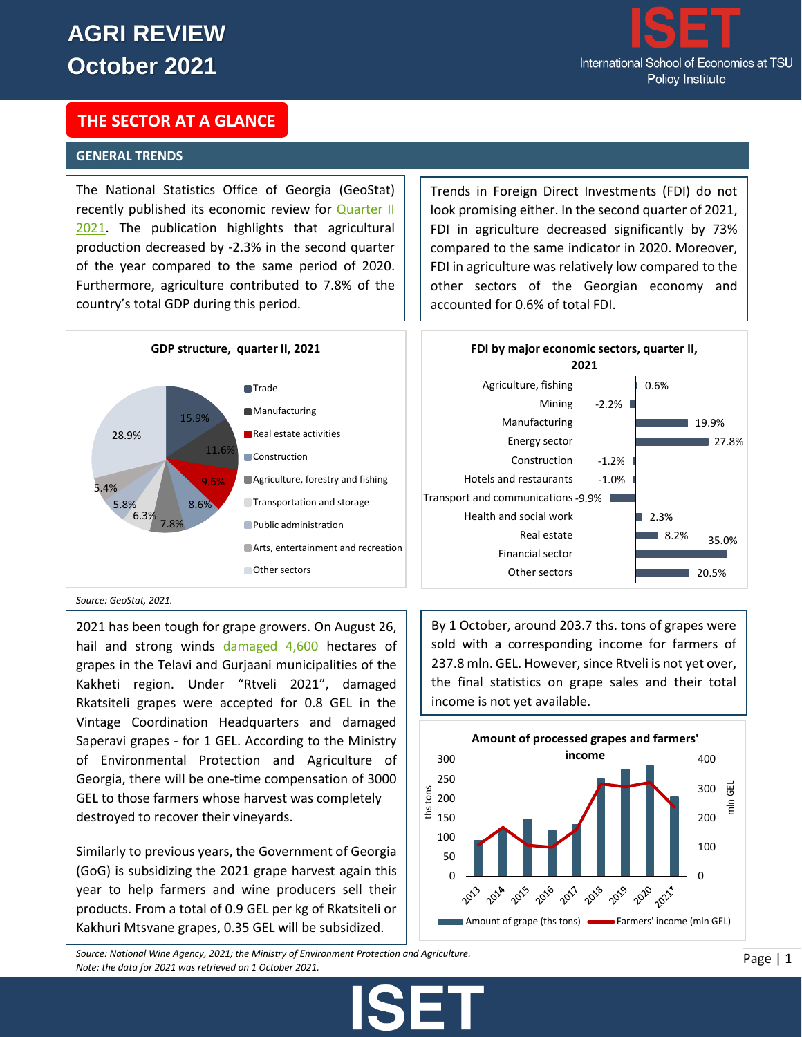

## **THE SECTOR AT A GLANCE**

### **GENERAL TRENDS**

The National Statistics Office of Georgia (GeoStat) recently published its economic review for **Quarter II** [2021.](https://www.geostat.ge/media/40504/Gross-Domestic-Product-of-Georgia---II-Q-2021---%28Preliminary%29.pdf) The publication highlights that agricultural production decreased by -2.3% in the second quarter of the year compared to the same period of 2020. Furthermore, agriculture contributed to 7.8% of the country's total GDP during this period.



*Source: GeoStat, 2021.*

2021 has been tough for grape growers. On August 26, hail and strong winds [damaged 4,600](https://mepa.gov.ge/En/News/Details/20481/) hectares of grapes in the Telavi and Gurjaani municipalities of the Kakheti region. Under "Rtveli 2021", damaged Rkatsiteli grapes were accepted for 0.8 GEL in the Vintage Coordination Headquarters and damaged Saperavi grapes - for 1 GEL. According to the Ministry of Environmental Protection and Agriculture of Georgia, there will be one-time compensation of 3000 GEL to those farmers whose harvest was completely destroyed to recover their vineyards.

Similarly to previous years, the Government of Georgia (GoG) is subsidizing the 2021 grape harvest again this year to help farmers and wine producers sell their products. From a total of 0.9 GEL per kg of Rkatsiteli or Kakhuri Mtsvane grapes, 0.35 GEL will be subsidized.

Trends in Foreign Direct Investments (FDI) do not look promising either. In the second quarter of 2021, FDI in agriculture decreased significantly by 73% compared to the same indicator in 2020. Moreover, FDI in agriculture was relatively low compared to the other sectors of the Georgian economy and accounted for 0.6% of total FDI.



By 1 October, around 203.7 ths. tons of grapes were sold with a corresponding income for farmers of 237.8 mln. GEL. However, since Rtveli is not yet over, the final statistics on grape sales and their total income is not yet available.



*Source: National Wine Agency, 2021; the Ministry of Environment Protection and Agriculture. Note: the data for 2021 was retrieved on 1 October 2021.*

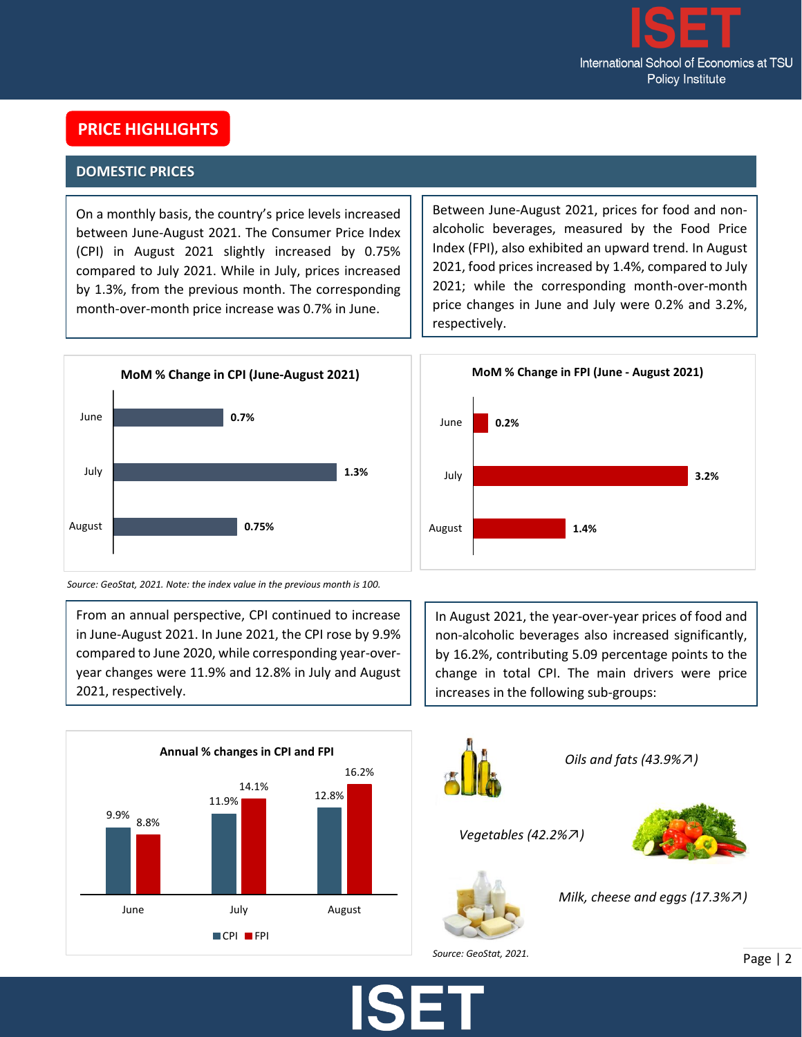

# **PRICE HIGHLIGHTS**

## **DOMESTIC PRICES**

On a monthly basis, the country's price levels increased between June-August 2021. The Consumer Price Index (CPI) in August 2021 slightly increased by 0.75% compared to July 2021. While in July, prices increased by 1.3%, from the previous month. The corresponding month-over-month price increase was 0.7% in June.

Between June-August 2021, prices for food and nonalcoholic beverages, measured by the Food Price Index (FPI), also exhibited an upward trend. In August 2021, food prices increased by 1.4%, compared to July 2021; while the corresponding month-over-month price changes in June and July were 0.2% and 3.2%, respectively.

**MoM % Change in FPI (June - August 2021)**



*Source: GeoStat, 2021. Note: the index value in the previous month is 100.* 

From an annual perspective, CPI continued to increase in June-August 2021. In June 2021, the CPI rose by 9.9% compared to June 2020, while corresponding year-overyear changes were 11.9% and 12.8% in July and August 2021, respectively.



In August 2021, the year-over-year prices of food and non-alcoholic beverages also increased significantly, by 16.2%, contributing 5.09 percentage points to the change in total CPI. The main drivers were price increases in the following sub-groups:





*Oils and fats (43.9%*↗*)*

*Vegetables (42.2%*↗*)* 

**0.2%**

June





*Milk, cheese and eggs (17.3%*↗*)*

*Source: GeoStat, 2021.*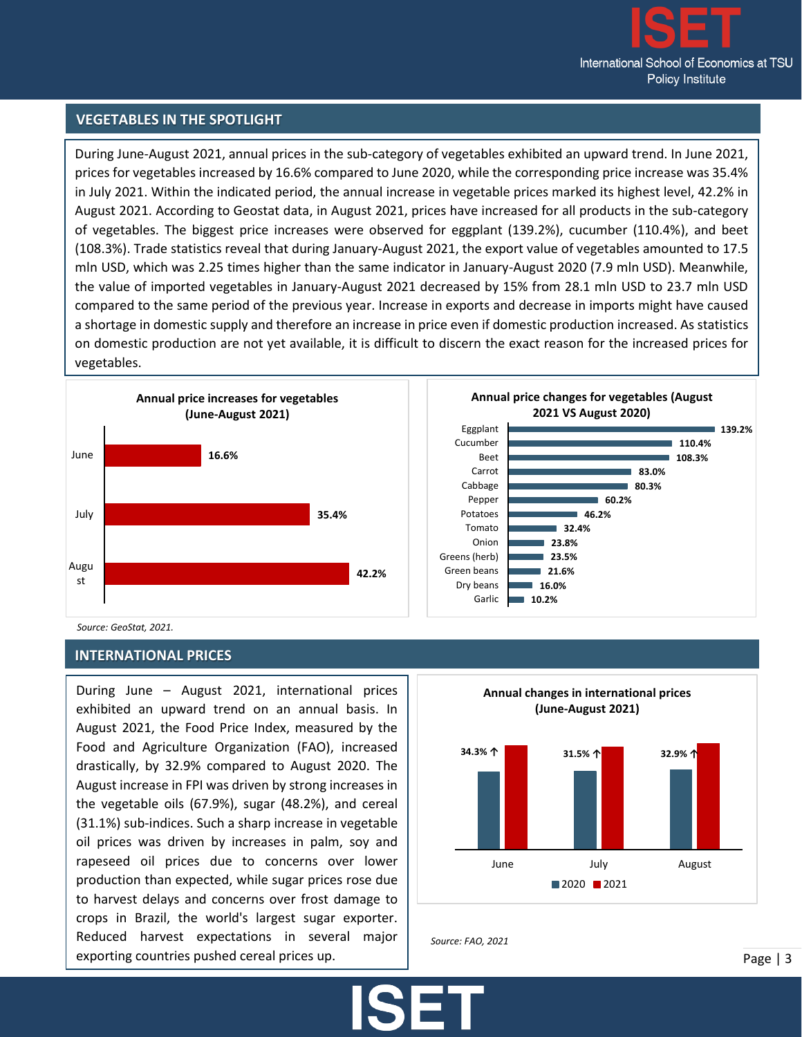

**139.2%**

**110.4% 108.3%**

**83.0% 80.3%**

### **VEGETABLES IN THE SPOTLIGHT**

During June-August 2021, annual prices in the sub-category of vegetables exhibited an upward trend. In June 2021, prices for vegetables increased by 16.6% compared to June 2020, while the corresponding price increase was 35.4% in July 2021. Within the indicated period, the annual increase in vegetable prices marked its highest level, 42.2% in August 2021. According to Geostat data, in August 2021, prices have increased for all products in the sub-category of vegetables. The biggest price increases were observed for eggplant (139.2%), cucumber (110.4%), and beet (108.3%). Trade statistics reveal that during January-August 2021, the export value of vegetables amounted to 17.5 mln USD, which was 2.25 times higher than the same indicator in January-August 2020 (7.9 mln USD). Meanwhile, the value of imported vegetables in January-August 2021 decreased by 15% from 28.1 mln USD to 23.7 mln USD compared to the same period of the previous year. Increase in exports and decrease in imports might have caused a shortage in domestic supply and therefore an increase in price even if domestic production increased. As statistics on domestic production are not yet available, it is difficult to discern the exact reason for the increased prices for vegetables.



*Source: GeoStat, 2021.*

### **INTERNATIONAL PRICES**

During June – August 2021, international prices exhibited an upward trend on an annual basis. In August 2021, the Food Price Index, measured by the Food and Agriculture Organization (FAO), increased drastically, by 32.9% compared to August 2020. The August increase in FPI was driven by strong increases in the vegetable oils (67.9%), sugar (48.2%), and cereal (31.1%) sub-indices. Such a sharp increase in vegetable oil prices was driven by increases in palm, soy and rapeseed oil prices due to concerns over lower production than expected, while sugar prices rose due to harvest delays and concerns over frost damage to crops in Brazil, the world's largest sugar exporter. Reduced harvest expectations in several major exporting countries pushed cereal prices up.





95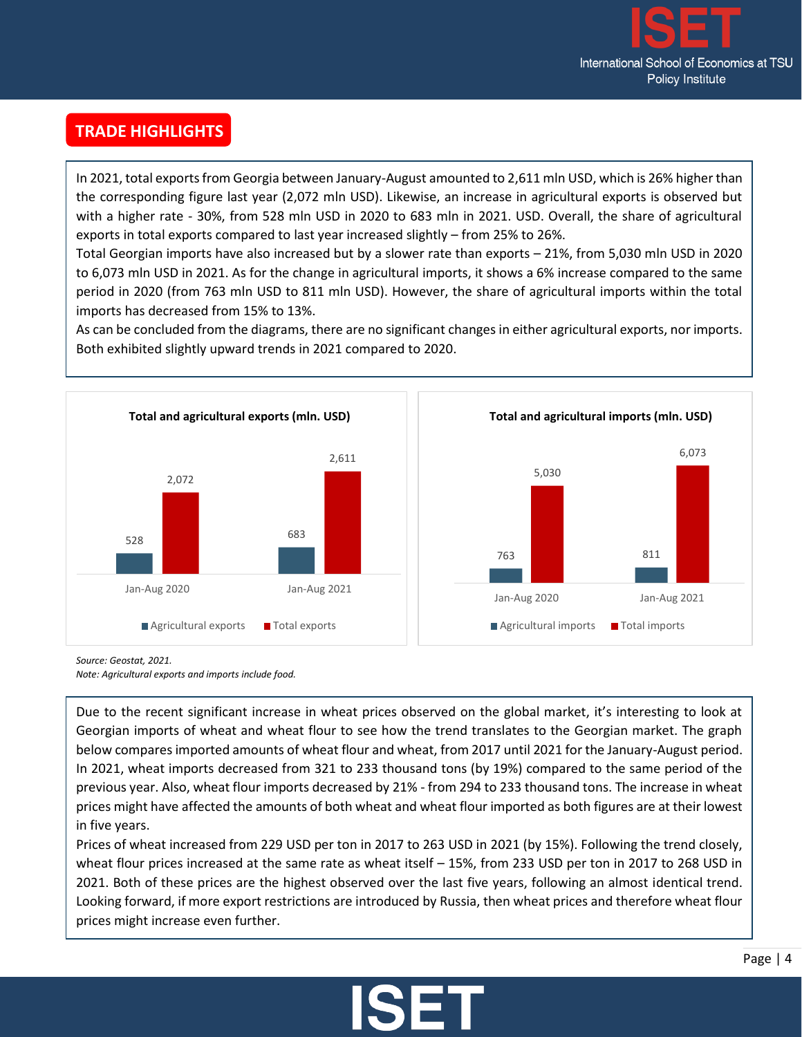

# **TRADE HIGHLIGHTS**

.

In 2021, total exports from Georgia between January-August amounted to 2,611 mln USD, which is 26% higher than the corresponding figure last year (2,072 mln USD). Likewise, an increase in agricultural exports is observed but with a higher rate - 30%, from 528 mln USD in 2020 to 683 mln in 2021. USD. Overall, the share of agricultural exports in total exports compared to last year increased slightly – from 25% to 26%.

Total Georgian imports have also increased but by a slower rate than exports – 21%, from 5,030 mln USD in 2020 to 6,073 mln USD in 2021. As for the change in agricultural imports, it shows a 6% increase compared to the same period in 2020 (from 763 mln USD to 811 mln USD). However, the share of agricultural imports within the total imports has decreased from 15% to 13%.

As can be concluded from the diagrams, there are no significant changes in either agricultural exports, nor imports. Both exhibited slightly upward trends in 2021 compared to 2020.



*Source: Geostat, 2021.*

*Note: Agricultural exports and imports include food.*

Due to the recent significant increase in wheat prices observed on the global market, it's interesting to look at Georgian imports of wheat and wheat flour to see how the trend translates to the Georgian market. The graph below compares imported amounts of wheat flour and wheat, from 2017 until 2021 for the January-August period. In 2021, wheat imports decreased from 321 to 233 thousand tons (by 19%) compared to the same period of the previous year. Also, wheat flour imports decreased by 21% - from 294 to 233 thousand tons. The increase in wheat prices might have affected the amounts of both wheat and wheat flour imported as both figures are at their lowest in five years.

Prices of wheat increased from 229 USD per ton in 2017 to 263 USD in 2021 (by 15%). Following the trend closely, wheat flour prices increased at the same rate as wheat itself – 15%, from 233 USD per ton in 2017 to 268 USD in 2021. Both of these prices are the highest observed over the last five years, following an almost identical trend. Looking forward, if more export restrictions are introduced by Russia, then wheat prices and therefore wheat flour prices might increase even further.